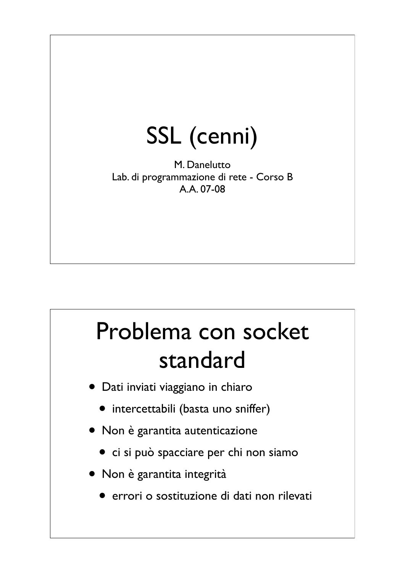## SSL (cenni)

M. Danelutto Lab. di programmazione di rete - Corso B A.A. 07-08

### Problema con socket standard

- Dati inviati viaggiano in chiaro
	- intercettabili (basta uno sniffer)
- Non è garantita autenticazione
	- ci si può spacciare per chi non siamo
- Non è garantita integrità
	- errori o sostituzione di dati non rilevati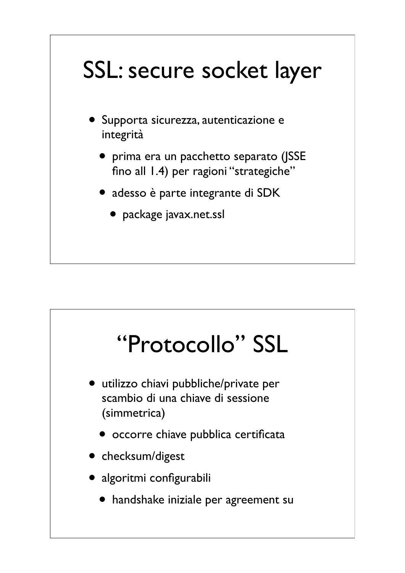## SSL: secure socket layer

- Supporta sicurezza, autenticazione e integrità
	- prima era un pacchetto separato (JSSE fino all 1.4) per ragioni "strategiche"
	- adesso è parte integrante di SDK
		- package javax.net.ssl

# "Protocollo" SSL

- utilizzo chiavi pubbliche/private per scambio di una chiave di sessione (simmetrica)
	- occorre chiave pubblica certificata
- checksum/digest
- algoritmi configurabili
	- handshake iniziale per agreement su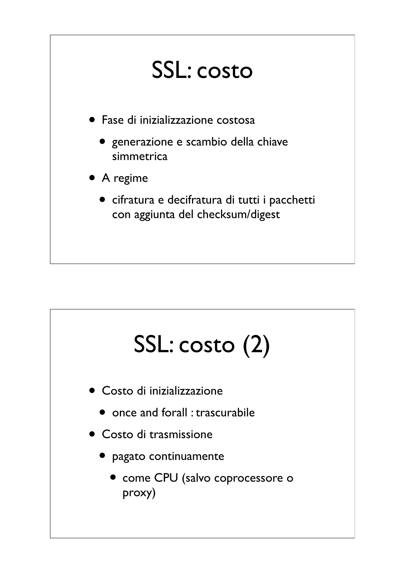### SSL: costo

- Fase di inizializzazione costosa
	- generazione e scambio della chiave simmetrica
- A regime
	- cifratura e decifratura di tutti i pacchetti con aggiunta del checksum/digest

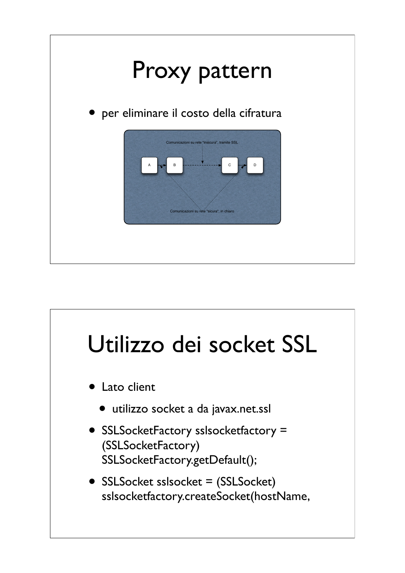

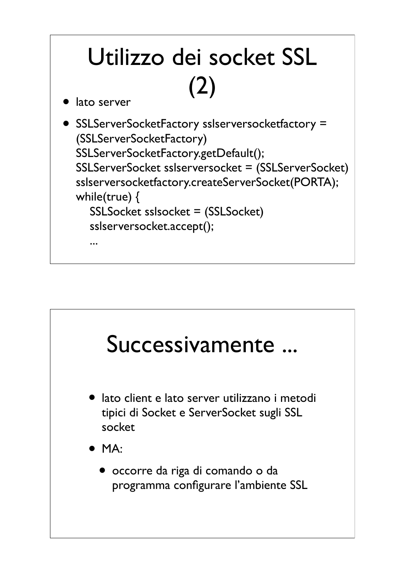

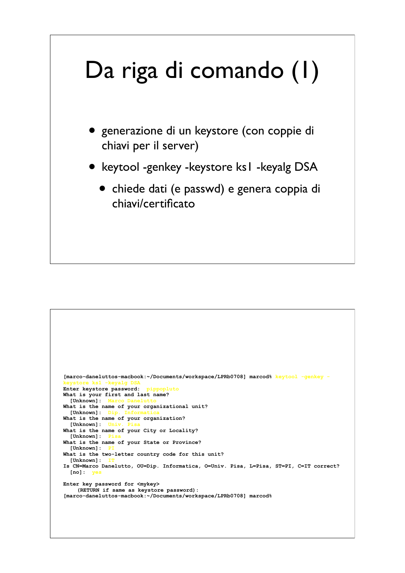# Da riga di comando (1)

- generazione di un keystore (con coppie di chiavi per il server)
- keytool -genkey -keystore ks1 -keyalg DSA
	- chiede dati (e passwd) e genera coppia di chiavi/certificato

```
[marco-daneluttos-macbook:~/Documents/workspace/LPRb0708] marcod% keytool -genkey -
keystore ks1 -keyalg DSA
Enter keystore password: pippopluto
What is your first and last name?
  [Unknown]:What is the name of your organizational unit?
 [Unknown]: D
What is the name of your organization?
  [Unknown]:What is the name of your City or Locality?
  [Unknown]:What is the name of your State or Province?
 [Unknown]:What is the two-letter country code for this unit?
 [Unknown]:Is CN=Marco Danelutto, OU=Dip. Informatica, O=Univ. Pisa, L=Pisa, ST=PI, C=IT correct?
 [no]:Enter key password for <mykey>
     (RETURN if same as keystore password): 
[marco-daneluttos-macbook:~/Documents/workspace/LPRb0708] marcod%
```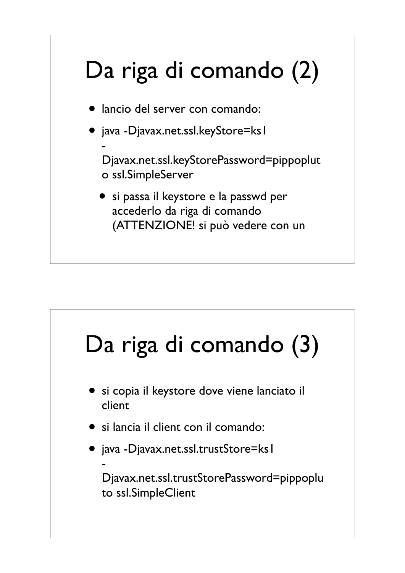# Da riga di comando (2)

lancio del server con comando:

• java -Djavax.net.ssl.keyStore=ksl

-

Djavax.net.ssl.keyStorePassword=pippoplut o ssl.SimpleServer

• si passa il keystore e la passwd per accederlo da riga di comando (ATTENZIONE! si può vedere con un

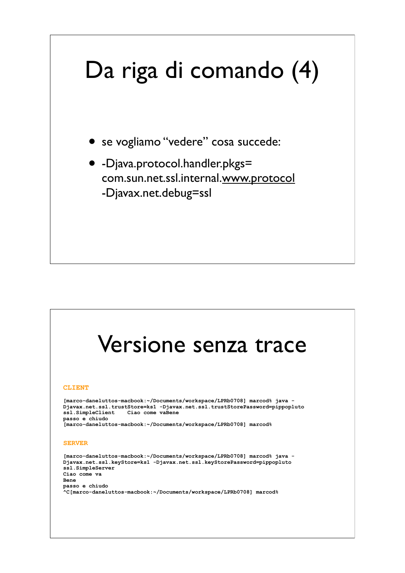# Da riga di comando (4)

- se vogliamo "vedere" cosa succede:
- -Djava.protocol.handler.pkgs= com.sun.net.ssl.internal.www.protocol -Djavax.net.debug=ssl

### Versione senza trace

#### **CLIENT**

**[marco-daneluttos-macbook:~/Documents/workspace/LPRb0708] marcod% java - Djavax.net.ssl.trustStore=ks1 -Djavax.net.ssl.trustStorePassword=pippopluto**  Ciao come vaBene **passo e chiudo [marco-daneluttos-macbook:~/Documents/workspace/LPRb0708] marcod%**

#### **SERVER**

```
[marco-daneluttos-macbook:~/Documents/workspace/LPRb0708] marcod% java -
Djavax.net.ssl.keyStore=ks1 -Djavax.net.ssl.keyStorePassword=pippopluto 
ssl.SimpleServer
Ciao come va
Bene
passo e chiudo
^C[marco-daneluttos-macbook:~/Documents/workspace/LPRb0708] marcod%
```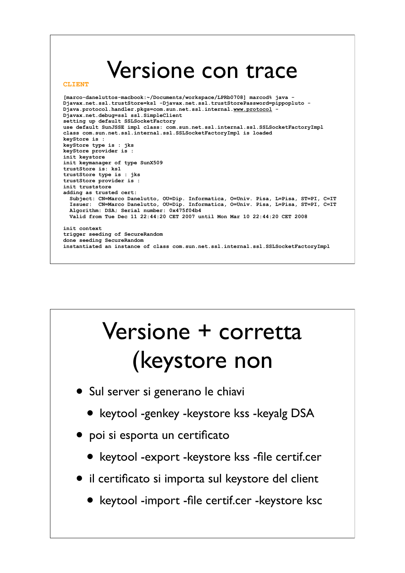### Versione con trace

#### **CLIENT**

**[marco-daneluttos-macbook:~/Documents/workspace/LPRb0708] marcod% java - Djavax.net.ssl.trustStore=ks1 -Djavax.net.ssl.trustStorePassword=pippopluto - Djava.protocol.handler.pkgs=com.sun.net.ssl.internal.www.protocol - Djavax.net.debug=ssl ssl.SimpleClient setting up default SSLSocketFactory use default SunJSSE impl class: com.sun.net.ssl.internal.ssl.SSLSocketFactoryImpl class com.sun.net.ssl.internal.ssl.SSLSocketFactoryImpl is loaded keyStore is : keyStore type is : jks keyStore provider is : init keystore init keymanager of type SunX509 trustStore is: ks1 trustStore type is : jks trustStore provider is : init truststore adding as trusted cert: Subject: CN=Marco Danelutto, OU=Dip. Informatica, O=Univ. Pisa, L=Pisa, ST=PI, C=IT Issuer: CN=Marco Danelutto, OU=Dip. Informatica, O=Univ. Pisa, L=Pisa, ST=PI, C=IT Algorithm: DSA; Serial number: 0x475f04b4 Valid from Tue Dec 11 22:44:20 CET 2007 until Mon Mar 10 22:44:20 CET 2008 init context trigger seeding of SecureRandom done seeding SecureRandom instantiated an instance of class com.sun.net.ssl.internal.ssl.SSLSocketFactoryImpl**

## Versione + corretta (keystore non

- Sul server si generano le chiavi
	- keytool -genkey -keystore kss -keyalg DSA
- poi si esporta un certificato
	- keytool -export -keystore kss -file certif.cer
- il certificato si importa sul keystore del client
	- keytool -import -file certif.cer -keystore ksc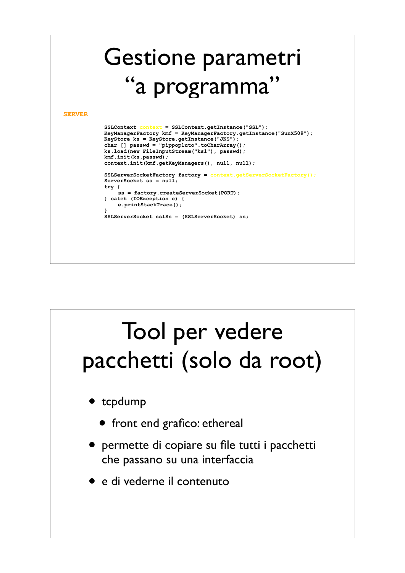

### Tool per vedere pacchetti (solo da root) • tcpdump • front end grafico: ethereal • permette di copiare su file tutti i pacchetti che passano su una interfaccia • e di vederne il contenuto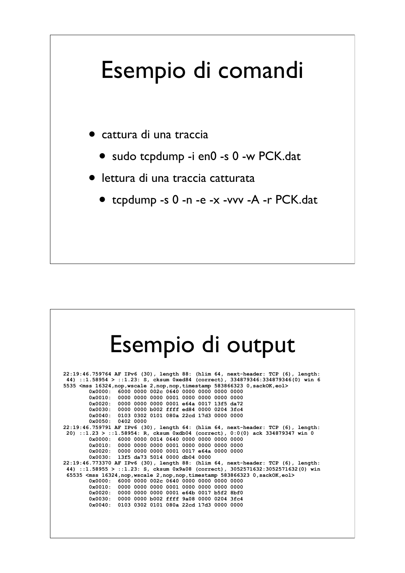### Esempio di comandi

- cattura di una traccia
	- sudo tcpdump -i en0 -s 0 -w PCK.dat
- lettura di una traccia catturata
	- tcpdump -s 0 -n -e -x -vvv -A -r PCK.dat

### Esempio di output

**22:19:46.759764 AF IPv6 (30), length 88: (hlim 64, next-header: TCP (6), length: 44) ::1.58954 > ::1.23: S, cksum 0xed84 (correct), 334879346:334879346(0) win 6 5535 <mss 16324,nop,wscale 2,nop,nop,timestamp 583866323 0,sackOK,eol> 0x0000: 6000 0000 002c 0640 0000 0000 0000 0000 0x0010: 0000 0000 0000 0001 0000 0000 0000 0000 0x0020: 0000 0000 0000 0001 e64a 0017 13f5 da72 0x0030: 0000 0000 b002 ffff ed84 0000 0204 3fc4 0x0040: 0103 0302 0101 080a 22cd 17d3 0000 0000 0x0050: 0402 0000 22:19:46.759791 AF IPv6 (30), length 64: (hlim 64, next-header: TCP (6), length: 20) ::1.23 > ::1.58954: R, cksum 0xdb04 (correct), 0:0(0) ack 334879347 win 0 0x0000: 6000 0000 0014 0640 0000 0000 0000 0000 0x0010: 0000 0000 0000 0001 0000 0000 0000 0000 0x0020: 0000 0000 0000 0001 0017 e64a 0000 0000 0x0030: 13f5 da73 5014 0000 db04 0000 22:19:46.773370 AF IPv6 (30), length 88: (hlim 64, next-header: TCP (6), length: 44) ::1.58955 > ::1.23: S, cksum 0x9a08 (correct), 3052571632:3052571632(0) win 65535 <mss 16324,nop,wscale 2,nop,nop,timestamp 583866323 0,sackOK,eol> 0x0000: 6000 0000 002c 0640 0000 0000 0000 0000 0x0010: 0000 0000 0000 0001 0000 0000 0000 0000 0x0020: 0000 0000 0000 0001 e64b 0017 b5f2 8bf0 0x0030: 0000 0000 b002 ffff 9a08 0000 0204 3fc4 0x0040: 0103 0302 0101 080a 22cd 17d3 0000 0000**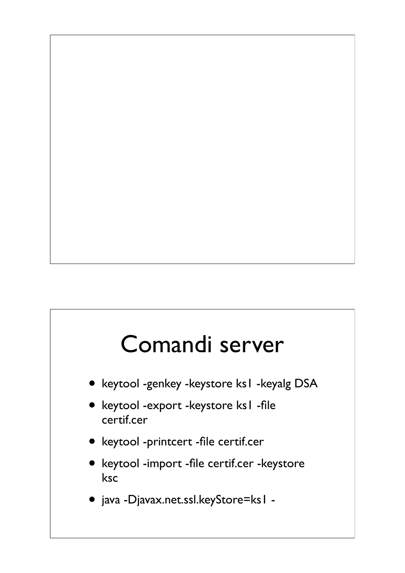### Comandi server

- keytool -genkey -keystore ks1 -keyalg DSA
- keytool -export -keystore ks1 -file certif.cer
- keytool -printcert -file certif.cer
- keytool -import -file certif.cer -keystore ksc
- java -Djavax.net.ssl.keyStore=ks1 -